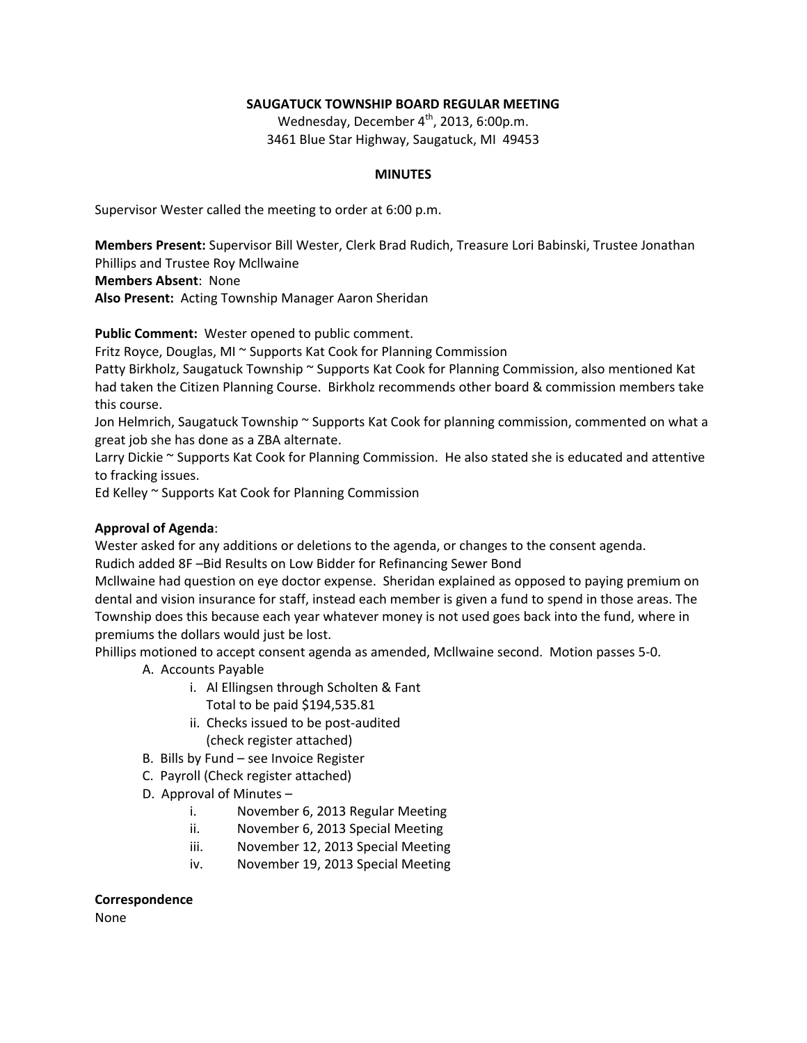# **SAUGATUCK TOWNSHIP BOARD REGULAR MEETING**

Wednesday, December  $4^{th}$ , 2013, 6:00p.m. 3461 Blue Star Highway, Saugatuck, MI 49453

## **MINUTES**

Supervisor Wester called the meeting to order at 6:00 p.m.

**Members Present:** Supervisor Bill Wester, Clerk Brad Rudich, Treasure Lori Babinski, Trustee Jonathan Phillips and Trustee Roy Mcllwaine

**Members Absent**: None

**Also Present:** Acting Township Manager Aaron Sheridan

**Public Comment:** Wester opened to public comment.

Fritz Royce, Douglas, MI ~ Supports Kat Cook for Planning Commission

Patty Birkholz, Saugatuck Township ~ Supports Kat Cook for Planning Commission, also mentioned Kat had taken the Citizen Planning Course. Birkholz recommends other board & commission members take this course.

Jon Helmrich, Saugatuck Township ~ Supports Kat Cook for planning commission, commented on what a great job she has done as a ZBA alternate.

Larry Dickie ~ Supports Kat Cook for Planning Commission. He also stated she is educated and attentive to fracking issues.

Ed Kelley ~ Supports Kat Cook for Planning Commission

## **Approval of Agenda**:

Wester asked for any additions or deletions to the agenda, or changes to the consent agenda. Rudich added 8F –Bid Results on Low Bidder for Refinancing Sewer Bond

Mcllwaine had question on eye doctor expense. Sheridan explained as opposed to paying premium on dental and vision insurance for staff, instead each member is given a fund to spend in those areas. The Township does this because each year whatever money is not used goes back into the fund, where in premiums the dollars would just be lost.

Phillips motioned to accept consent agenda as amended, Mcllwaine second. Motion passes 5-0.

- A. Accounts Payable
	- i. Al Ellingsen through Scholten & Fant Total to be paid \$194,535.81
	- ii. Checks issued to be post-audited
	- (check register attached)
- B. Bills by Fund see Invoice Register
- C. Payroll (Check register attached)
- D. Approval of Minutes
	- i. November 6, 2013 Regular Meeting
	- ii. November 6, 2013 Special Meeting
	- iii. November 12, 2013 Special Meeting
	- iv. November 19, 2013 Special Meeting

## **Correspondence**

None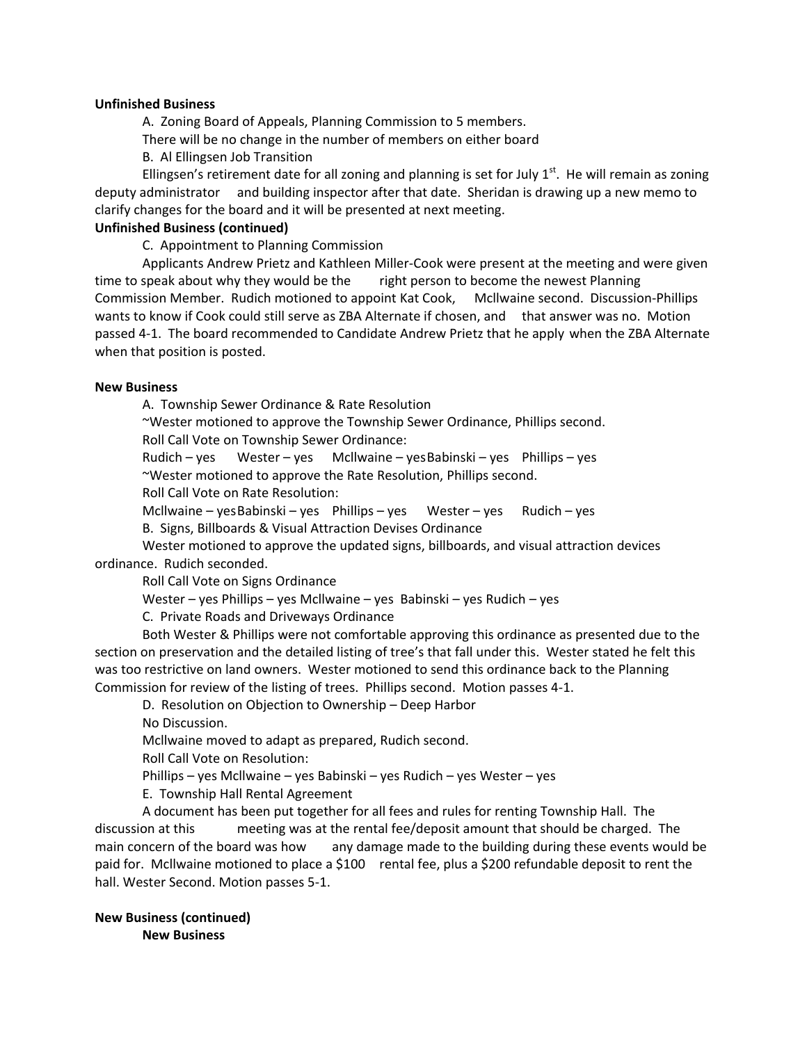#### **Unfinished Business**

A. Zoning Board of Appeals, Planning Commission to 5 members.

There will be no change in the number of members on either board

B. Al Ellingsen Job Transition

Ellingsen's retirement date for all zoning and planning is set for July  $1<sup>st</sup>$ . He will remain as zoning deputy administrator and building inspector after that date. Sheridan is drawing up a new memo to clarify changes for the board and it will be presented at next meeting.

### **Unfinished Business (continued)**

C. Appointment to Planning Commission

Applicants Andrew Prietz and Kathleen Miller-Cook were present at the meeting and were given time to speak about why they would be the right person to become the newest Planning Commission Member. Rudich motioned to appoint Kat Cook, Mcllwaine second. Discussion-Phillips wants to know if Cook could still serve as ZBA Alternate if chosen, and that answer was no. Motion passed 4-1. The board recommended to Candidate Andrew Prietz that he apply when the ZBA Alternate when that position is posted.

### **New Business**

A. Township Sewer Ordinance & Rate Resolution

~Wester motioned to approve the Township Sewer Ordinance, Phillips second.

Roll Call Vote on Township Sewer Ordinance:

Rudich – yes Wester – yes Mcllwaine – yesBabinski – yes Phillips – yes ~Wester motioned to approve the Rate Resolution, Phillips second.

Roll Call Vote on Rate Resolution:

Mcllwaine – yes Babinski – yes Phillips – yes Wester – yes Rudich – yes

B. Signs, Billboards & Visual Attraction Devises Ordinance

Wester motioned to approve the updated signs, billboards, and visual attraction devices ordinance. Rudich seconded.

Roll Call Vote on Signs Ordinance

Wester – yes Phillips – yes Mcllwaine – yes Babinski – yes Rudich – yes

C. Private Roads and Driveways Ordinance

Both Wester & Phillips were not comfortable approving this ordinance as presented due to the section on preservation and the detailed listing of tree's that fall under this. Wester stated he felt this was too restrictive on land owners. Wester motioned to send this ordinance back to the Planning Commission for review of the listing of trees. Phillips second. Motion passes 4-1.

D. Resolution on Objection to Ownership – Deep Harbor

No Discussion.

Mcllwaine moved to adapt as prepared, Rudich second.

Roll Call Vote on Resolution:

Phillips – yes Mcllwaine – yes Babinski – yes Rudich – yes Wester – yes

E. Township Hall Rental Agreement

A document has been put together for all fees and rules for renting Township Hall. The discussion at this meeting was at the rental fee/deposit amount that should be charged. The main concern of the board was how any damage made to the building during these events would be paid for. Mcllwaine motioned to place a \$100 rental fee, plus a \$200 refundable deposit to rent the hall. Wester Second. Motion passes 5-1.

**New Business (continued) New Business**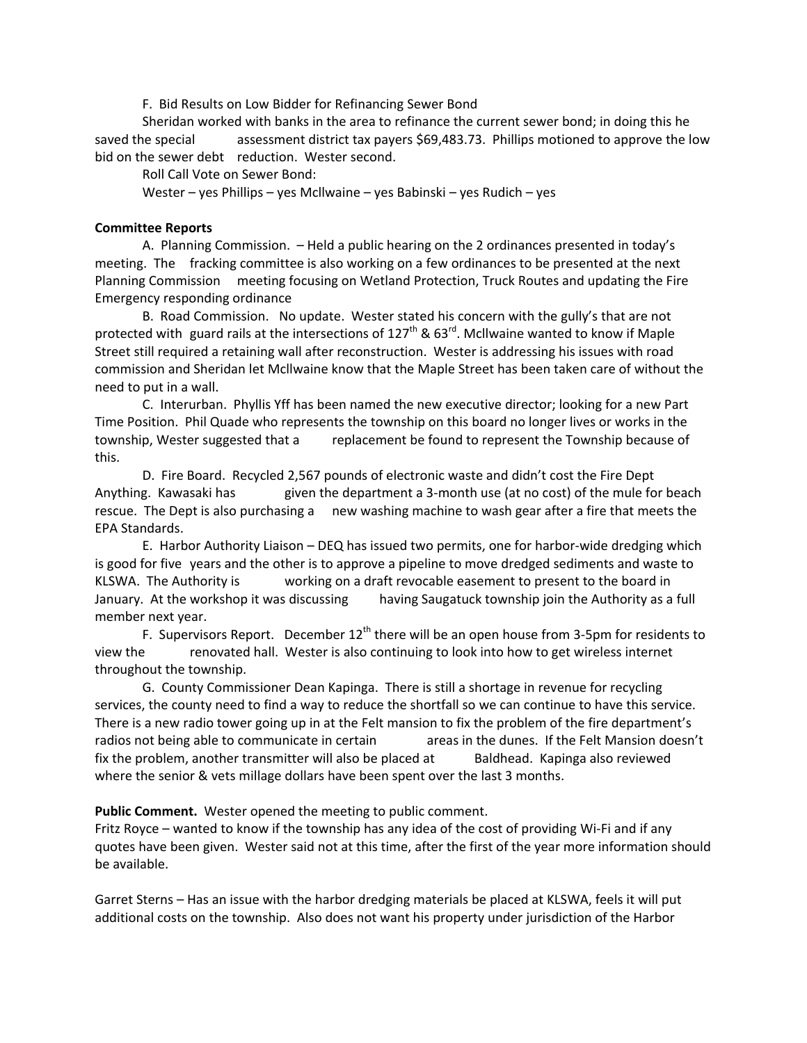F. Bid Results on Low Bidder for Refinancing Sewer Bond

Sheridan worked with banks in the area to refinance the current sewer bond; in doing this he saved the special assessment district tax payers \$69,483.73. Phillips motioned to approve the low bid on the sewer debt reduction. Wester second.

Roll Call Vote on Sewer Bond:

Wester – yes Phillips – yes Mcllwaine – yes Babinski – yes Rudich – yes

### **Committee Reports**

A. Planning Commission. – Held a public hearing on the 2 ordinances presented in today's meeting. The fracking committee is also working on a few ordinances to be presented at the next Planning Commission meeting focusing on Wetland Protection, Truck Routes and updating the Fire Emergency responding ordinance

B. Road Commission. No update. Wester stated his concern with the gully's that are not protected with guard rails at the intersections of  $127<sup>th</sup>$  &  $63<sup>rd</sup>$ . Mcllwaine wanted to know if Maple Street still required a retaining wall after reconstruction. Wester is addressing his issues with road commission and Sheridan let Mcllwaine know that the Maple Street has been taken care of without the need to put in a wall.

C. Interurban. Phyllis Yff has been named the new executive director; looking for a new Part Time Position. Phil Quade who represents the township on this board no longer lives or works in the township, Wester suggested that a replacement be found to represent the Township because of this.

D. Fire Board. Recycled 2,567 pounds of electronic waste and didn't cost the Fire Dept Anything. Kawasaki has given the department a 3-month use (at no cost) of the mule for beach rescue. The Dept is also purchasing a new washing machine to wash gear after a fire that meets the EPA Standards.

E. Harbor Authority Liaison – DEQ has issued two permits, one for harbor-wide dredging which is good for five years and the other is to approve a pipeline to move dredged sediments and waste to KLSWA. The Authority is working on a draft revocable easement to present to the board in January. At the workshop it was discussing having Saugatuck township join the Authority as a full member next year.

F. Supervisors Report. December  $12<sup>th</sup>$  there will be an open house from 3-5pm for residents to view the renovated hall. Wester is also continuing to look into how to get wireless internet throughout the township.

G. County Commissioner Dean Kapinga. There is still a shortage in revenue for recycling services, the county need to find a way to reduce the shortfall so we can continue to have this service. There is a new radio tower going up in at the Felt mansion to fix the problem of the fire department's radios not being able to communicate in certain areas in the dunes. If the Felt Mansion doesn't fix the problem, another transmitter will also be placed at Baldhead. Kapinga also reviewed where the senior & vets millage dollars have been spent over the last 3 months.

**Public Comment.** Wester opened the meeting to public comment.

Fritz Royce – wanted to know if the township has any idea of the cost of providing Wi-Fi and if any quotes have been given. Wester said not at this time, after the first of the year more information should be available.

Garret Sterns – Has an issue with the harbor dredging materials be placed at KLSWA, feels it will put additional costs on the township. Also does not want his property under jurisdiction of the Harbor